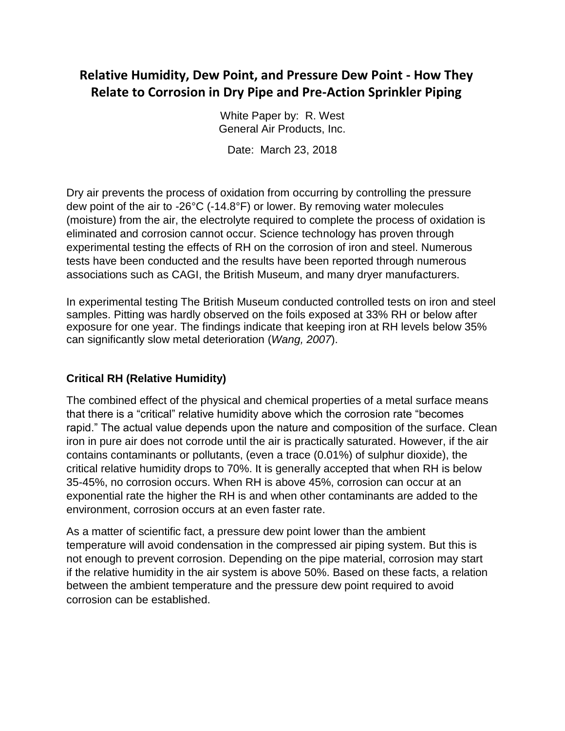## **Relative Humidity, Dew Point, and Pressure Dew Point - How They Relate to Corrosion in Dry Pipe and Pre-Action Sprinkler Piping**

White Paper by: R. West General Air Products, Inc.

Date: March 23, 2018

Dry air prevents the process of oxidation from occurring by controlling the pressure dew point of the air to -26°C (-14.8°F) or lower. By removing water molecules (moisture) from the air, the electrolyte required to complete the process of oxidation is eliminated and corrosion cannot occur. Science technology has proven through experimental testing the effects of RH on the corrosion of iron and steel. Numerous tests have been conducted and the results have been reported through numerous associations such as CAGI, the British Museum, and many dryer manufacturers.

In experimental testing The British Museum conducted controlled tests on iron and steel samples. Pitting was hardly observed on the foils exposed at 33% RH or below after exposure for one year. The findings indicate that keeping iron at RH levels below 35% can significantly slow metal deterioration (*Wang, 2007*).

## **Critical RH (Relative Humidity)**

The combined effect of the physical and chemical properties of a metal surface means that there is a "critical" relative humidity above which the corrosion rate "becomes rapid." The actual value depends upon the nature and composition of the surface. Clean iron in pure air does not corrode until the air is practically saturated. However, if the air contains contaminants or pollutants, (even a trace (0.01%) of sulphur dioxide), the critical relative humidity drops to 70%. It is generally accepted that when RH is below 35-45%, no corrosion occurs. When RH is above 45%, corrosion can occur at an exponential rate the higher the RH is and when other contaminants are added to the environment, corrosion occurs at an even faster rate.

As a matter of scientific fact, a pressure dew point lower than the ambient temperature will avoid condensation in the compressed air piping system. But this is not enough to prevent corrosion. Depending on the pipe material, corrosion may start if the relative humidity in the air system is above 50%. Based on these facts, a relation between the ambient temperature and the pressure dew point required to avoid corrosion can be established.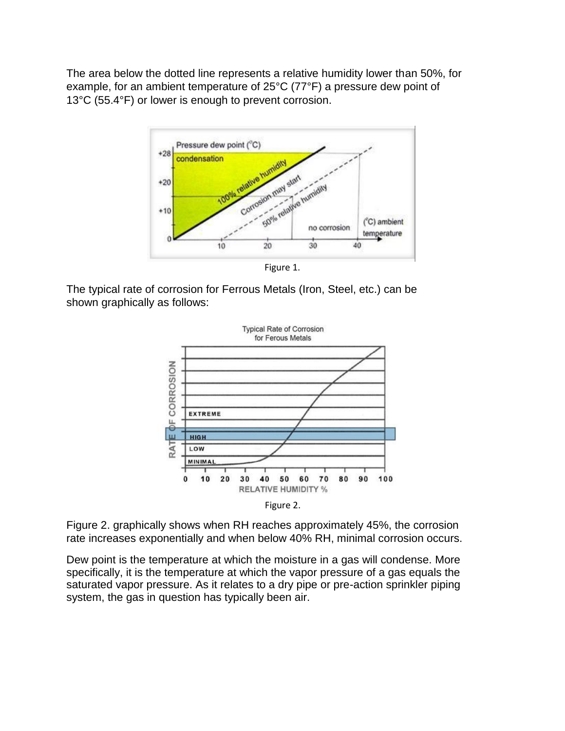The area below the dotted line represents a relative humidity lower than 50%, for example, for an ambient temperature of 25°C (77°F) a pressure dew point of 13°C (55.4°F) or lower is enough to prevent corrosion.



Figure 1.

The typical rate of corrosion for Ferrous Metals (Iron, Steel, etc.) can be shown graphically as follows:





Figure 2. graphically shows when RH reaches approximately 45%, the corrosion rate increases exponentially and when below 40% RH, minimal corrosion occurs.

Dew point is the temperature at which the moisture in a gas will condense. More specifically, it is the temperature at which the vapor pressure of a gas equals the saturated vapor pressure. As it relates to a dry pipe or pre-action sprinkler piping system, the gas in question has typically been air.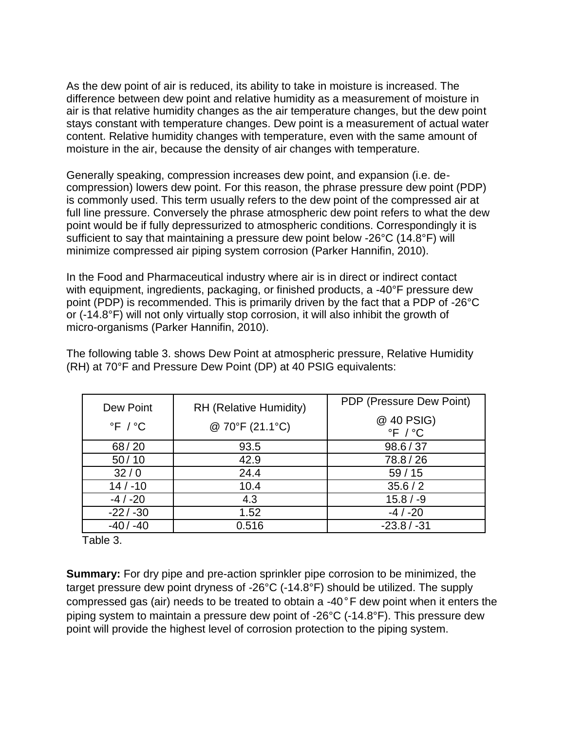As the dew point of air is reduced, its ability to take in moisture is increased. The difference between dew point and relative humidity as a measurement of moisture in air is that relative humidity changes as the air temperature changes, but the dew point stays constant with temperature changes. Dew point is a measurement of actual water content. Relative humidity changes with temperature, even with the same amount of moisture in the air, because the density of air changes with temperature.

Generally speaking, compression increases dew point, and expansion (i.e. decompression) lowers dew point. For this reason, the phrase pressure dew point (PDP) is commonly used. This term usually refers to the dew point of the compressed air at full line pressure. Conversely the phrase atmospheric dew point refers to what the dew point would be if fully depressurized to atmospheric conditions. Correspondingly it is sufficient to say that maintaining a pressure dew point below -26°C (14.8°F) will minimize compressed air piping system corrosion (Parker Hannifin, 2010).

In the Food and Pharmaceutical industry where air is in direct or indirect contact with equipment, ingredients, packaging, or finished products, a -40°F pressure dew point (PDP) is recommended. This is primarily driven by the fact that a PDP of -26°C or (-14.8°F) will not only virtually stop corrosion, it will also inhibit the growth of micro-organisms (Parker Hannifin, 2010).

The following table 3. shows Dew Point at atmospheric pressure, Relative Humidity (RH) at 70°F and Pressure Dew Point (DP) at 40 PSIG equivalents:

| Dew Point                 | RH (Relative Humidity) | PDP (Pressure Dew Point)                |
|---------------------------|------------------------|-----------------------------------------|
| $\degree$ F / $\degree$ C | @ 70°F (21.1°C)        | @ 40 PSIG)<br>$\degree$ F / $\degree$ C |
| 68/20                     | 93.5                   | 98.6 / 37                               |
| 50/10                     | 42.9                   | 78.8/26                                 |
| 32/0                      | 24.4                   | 59/15                                   |
| $14/ - 10$                | 10.4                   | 35.6 / 2                                |
| $-4/ -20$                 | 4.3                    | $15.8 / -9$                             |
| $-22/ -30$                | 1.52                   | $-4/ -20$                               |
| $-40/ -40$                | 0.516                  | $-23.8/ -31$                            |

Table 3.

**Summary:** For dry pipe and pre-action sprinkler pipe corrosion to be minimized, the target pressure dew point dryness of -26°C (-14.8°F) should be utilized. The supply compressed gas (air) needs to be treated to obtain a -40°F dew point when it enters the piping system to maintain a pressure dew point of -26°C (-14.8°F). This pressure dew point will provide the highest level of corrosion protection to the piping system.